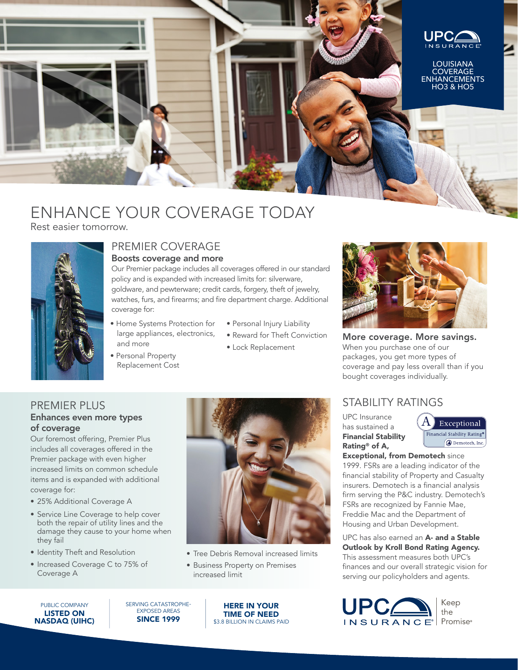

# ENHANCE YOUR COVERAGE TODAY

Rest easier tomorrow.



#### PREMIER COVERAGE Boosts coverage and more

Our Premier package includes all coverages offered in our standard policy and is expanded with increased limits for: silverware, goldware, and pewterware; credit cards, forgery, theft of jewelry, watches, furs, and firearms; and fire department charge. Additional coverage for:

- Home Systems Protection for large appliances, electronics, and more
- Personal Property Replacement Cost
- Personal Injury Liability
- Reward for Theft Conviction
- Lock Replacement



More coverage. More savings. When you purchase one of our packages, you get more types of coverage and pay less overall than if you bought coverages individually.

### STABILITY RATINGS

UPC Insurance has sustained a Financial Stability Rating® of A,



Exceptional, from Demotech since 1999. FSRs are a leading indicator of the financial stability of Property and Casualty insurers. Demotech is a financial analysis firm serving the P&C industry. Demotech's FSRs are recognized by Fannie Mae, Freddie Mac and the Department of Housing and Urban Development.

UPC has also earned an A- and a Stable Outlook by Kroll Bond Rating Agency. This assessment measures both UPC's finances and our overall strategic vision for serving our policyholders and agents.



### PREMIER PLUS

#### Enhances even more types of coverage

Our foremost offering, Premier Plus includes all coverages offered in the Premier package with even higher increased limits on common schedule items and is expanded with additional coverage for:

- 25% Additional Coverage A
- Service Line Coverage to help cover both the repair of utility lines and the damage they cause to your home when they fail
- Identity Theft and Resolution
- Increased Coverage C to 75% of Coverage A



- Tree Debris Removal increased limits
- Business Property on Premises increased limit

PUBLIC COMPANY LISTED ON NASDAQ (UIHC) SERVING CATASTROPHE-EXPOSED AREAS SINCE 1999

HERE IN YOUR TIME OF NEED \$3.8 BILLION IN CLAIMS PAID